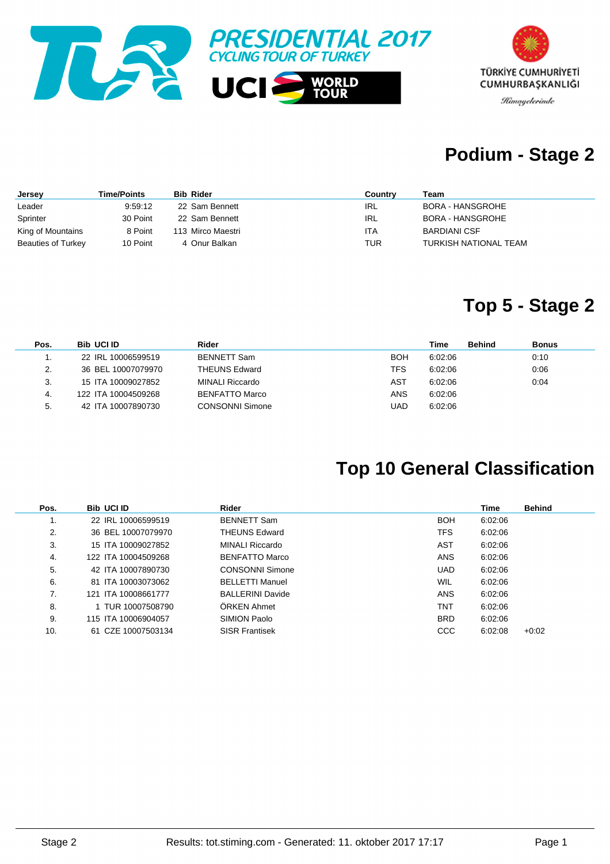



### **Podium - Stage 2**

| Jersey                    | <b>Time/Points</b> | <b>Bib Rider</b>  | Country | Team                    |
|---------------------------|--------------------|-------------------|---------|-------------------------|
| Leader                    | 9:59:12            | 22 Sam Bennett    | IRL     | <b>BORA - HANSGROHE</b> |
| Sprinter                  | 30 Point           | 22 Sam Bennett    | IRL     | BORA - HANSGROHE        |
| King of Mountains         | 8 Point            | 113 Mirco Maestri | ITA     | <b>BARDIANI CSF</b>     |
| <b>Beauties of Turkey</b> | 10 Point           | 4 Onur Balkan     | TUR     | TURKISH NATIONAL TEAM   |

#### **Top 5 - Stage 2**

| Pos. | <b>Bib UCI ID</b>   | Rider                  |      | Time    | <b>Behind</b> | <b>Bonus</b> |
|------|---------------------|------------------------|------|---------|---------------|--------------|
|      | 22 IRL 10006599519  | <b>BENNETT Sam</b>     | BOH  | 6:02:06 |               | 0:10         |
| 2.   | 36 BEL 10007079970  | <b>THEUNS Edward</b>   | TFS  | 6:02:06 |               | 0:06         |
| 3.   | 15 ITA 10009027852  | MINALI Riccardo        | AST  | 6:02:06 |               | 0:04         |
| 4.   | 122 ITA 10004509268 | BENFATTO Marco         | ANS  | 6:02:06 |               |              |
| 5.   | 42 ITA 10007890730  | <b>CONSONNI Simone</b> | UAD. | 6:02:06 |               |              |

### **Top 10 General Classification**

| Pos. | <b>Bib UCI ID</b>   | Rider                   |            | Time    | <b>Behind</b> |
|------|---------------------|-------------------------|------------|---------|---------------|
| ι.   | 22 IRL 10006599519  | <b>BENNETT Sam</b>      | <b>BOH</b> | 6:02:06 |               |
| 2.   | 36 BEL 10007079970  | <b>THEUNS Edward</b>    | TFS.       | 6:02:06 |               |
| 3.   | 15 ITA 10009027852  | MINALI Riccardo         | AST        | 6:02:06 |               |
| 4.   | 122 ITA 10004509268 | BENFATTO Marco          | <b>ANS</b> | 6:02:06 |               |
| 5.   | 42 ITA 10007890730  | <b>CONSONNI Simone</b>  | <b>UAD</b> | 6:02:06 |               |
| 6.   | 81 ITA 10003073062  | <b>BELLETTI Manuel</b>  | <b>WIL</b> | 6:02:06 |               |
| 7.   | 121 ITA 10008661777 | <b>BALLERINI Davide</b> | <b>ANS</b> | 6:02:06 |               |
| 8.   | 1 TUR 10007508790   | ÖRKEN Ahmet             | TNT        | 6:02:06 |               |
| 9.   | 115 ITA 10006904057 | SIMION Paolo            | <b>BRD</b> | 6:02:06 |               |
| 10.  | 61 CZE 10007503134  | <b>SISR Frantisek</b>   | <b>CCC</b> | 6:02:08 | $+0.02$       |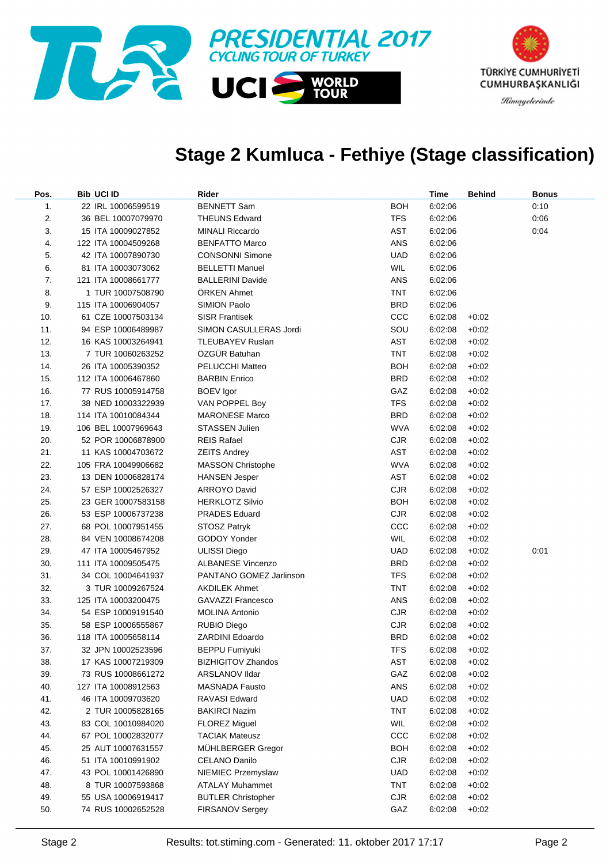

#### **Stage 2 Kumluca - Fethiye (Stage classification)**

| Pos.           | <b>Bib UCI ID</b>   | Rider                     |            | Time    | <b>Behind</b> | <b>Bonus</b> |
|----------------|---------------------|---------------------------|------------|---------|---------------|--------------|
| $\mathbf{1}$ . | 22 IRL 10006599519  | <b>BENNETT Sam</b>        | <b>BOH</b> | 6:02:06 |               | 0:10         |
| 2.             | 36 BEL 10007079970  | <b>THEUNS Edward</b>      | <b>TFS</b> | 6:02:06 |               | 0:06         |
| 3.             | 15 ITA 10009027852  | <b>MINALI Riccardo</b>    | AST        | 6:02:06 |               | 0:04         |
| 4.             | 122 ITA 10004509268 | <b>BENFATTO Marco</b>     | ANS        | 6:02:06 |               |              |
| 5.             | 42 ITA 10007890730  | <b>CONSONNI Simone</b>    | UAD        | 6:02:06 |               |              |
| 6.             | 81 ITA 10003073062  | <b>BELLETTI Manuel</b>    | <b>WIL</b> | 6:02:06 |               |              |
| 7.             | 121 ITA 10008661777 | <b>BALLERINI Davide</b>   | ANS        | 6:02:06 |               |              |
| 8.             | 1 TUR 10007508790   | <b>ORKEN Ahmet</b>        | TNT        | 6:02:06 |               |              |
| 9.             | 115 ITA 10006904057 | SIMION Paolo              | <b>BRD</b> | 6:02:06 |               |              |
| 10.            | 61 CZE 10007503134  | <b>SISR Frantisek</b>     | CCC        | 6:02:08 | $+0:02$       |              |
| 11.            | 94 ESP 10006489987  | SIMON CASULLERAS Jordi    | SOU        | 6:02:08 | $+0:02$       |              |
| 12.            | 16 KAS 10003264941  | <b>TLEUBAYEV Ruslan</b>   | AST        | 6:02:08 | $+0:02$       |              |
| 13.            | 7 TUR 10060263252   | ÖZGÜR Batuhan             | TNT        | 6:02:08 | $+0:02$       |              |
| 14.            | 26 ITA 10005390352  | PELUCCHI Matteo           | BOH        | 6:02:08 | $+0:02$       |              |
| 15.            | 112 ITA 10006467860 | <b>BARBIN Enrico</b>      | <b>BRD</b> | 6:02:08 | $+0:02$       |              |
| 16.            | 77 RUS 10005914758  | <b>BOEV</b> Igor          | GAZ        | 6:02:08 | $+0:02$       |              |
| 17.            | 38 NED 10003322939  | VAN POPPEL Boy            | <b>TFS</b> | 6:02:08 | $+0:02$       |              |
| 18.            | 114 ITA 10010084344 | <b>MARONESE Marco</b>     | <b>BRD</b> | 6:02:08 | $+0:02$       |              |
| 19.            | 106 BEL 10007969643 | <b>STASSEN Julien</b>     | <b>WVA</b> | 6:02:08 | $+0:02$       |              |
| 20.            | 52 POR 10006878900  | <b>REIS Rafael</b>        | <b>CJR</b> | 6:02:08 | $+0:02$       |              |
| 21.            | 11 KAS 10004703672  | <b>ZEITS Andrey</b>       | AST        | 6:02:08 | $+0:02$       |              |
| 22.            | 105 FRA 10049906682 | <b>MASSON Christophe</b>  | <b>WVA</b> | 6:02:08 | $+0:02$       |              |
| 23.            | 13 DEN 10006828174  | <b>HANSEN Jesper</b>      | <b>AST</b> | 6:02:08 | $+0:02$       |              |
| 24.            | 57 ESP 10002526327  | <b>ARROYO David</b>       | <b>CJR</b> | 6:02:08 | $+0:02$       |              |
| 25.            | 23 GER 10007583158  | <b>HERKLOTZ Silvio</b>    | BOH        | 6:02:08 | $+0:02$       |              |
| 26.            | 53 ESP 10006737238  | <b>PRADES Eduard</b>      | <b>CJR</b> | 6:02:08 | $+0:02$       |              |
| 27.            | 68 POL 10007951455  | STOSZ Patryk              | CCC        | 6:02:08 | $+0:02$       |              |
| 28.            | 84 VEN 10008674208  | GODOY Yonder              | <b>WIL</b> | 6:02:08 | $+0.02$       |              |
| 29.            | 47 ITA 10005467952  | <b>ULISSI Diego</b>       | UAD        | 6:02:08 | $+0.02$       | 0:01         |
| 30.            | 111 ITA 10009505475 | <b>ALBANESE Vincenzo</b>  | <b>BRD</b> | 6:02:08 | $+0.02$       |              |
| 31.            | 34 COL 10004641937  | PANTANO GOMEZ Jarlinson   | <b>TFS</b> | 6:02:08 | $+0:02$       |              |
| 32.            | 3 TUR 10009267524   | <b>AKDILEK Ahmet</b>      | TNT        | 6:02:08 | $+0:02$       |              |
| 33.            | 125 ITA 10003200475 | <b>GAVAZZI Francesco</b>  | ANS        | 6:02:08 | $+0:02$       |              |
| 34.            | 54 ESP 10009191540  | <b>MOLINA Antonio</b>     | <b>CJR</b> | 6:02:08 | $+0:02$       |              |
| 35.            | 58 ESP 10006555867  | <b>RUBIO Diego</b>        | <b>CJR</b> | 6:02:08 | $+0:02$       |              |
| 36.            | 118 ITA 10005658114 | <b>ZARDINI Edoardo</b>    | BRD        | 6:02:08 | $+0:02$       |              |
| 37.            | 32 JPN 10002523596  | <b>BEPPU Fumiyuki</b>     | <b>TFS</b> | 6:02:08 | $+0:02$       |              |
| 38.            | 17 KAS 10007219309  | <b>BIZHIGITOV Zhandos</b> | AST        | 6:02:08 | $+0:02$       |              |
| 39.            | 73 RUS 10008661272  | <b>ARSLANOV IIdar</b>     | GAZ        | 6:02:08 | $+0:02$       |              |
| 40.            | 127 ITA 10008912563 | <b>MASNADA Fausto</b>     | <b>ANS</b> | 6:02:08 | $+0:02$       |              |
| 41.            | 46 ITA 10009703620  | RAVASI Edward             | <b>UAD</b> | 6:02:08 | $+0:02$       |              |
| 42.            | 2 TUR 10005828165   | <b>BAKIRCI Nazim</b>      | <b>TNT</b> | 6:02:08 | $+0:02$       |              |
| 43.            | 83 COL 10010984020  | <b>FLOREZ Miguel</b>      | <b>WIL</b> | 6:02:08 | $+0:02$       |              |
| 44.            | 67 POL 10002832077  | <b>TACIAK Mateusz</b>     | ccc        | 6:02:08 | $+0.02$       |              |
| 45.            | 25 AUT 10007631557  | MÜHLBERGER Gregor         | <b>BOH</b> | 6:02:08 | $+0.02$       |              |
| 46.            | 51 ITA 10010991902  | CELANO Danilo             | <b>CJR</b> | 6:02:08 | $+0.02$       |              |
| 47.            | 43 POL 10001426890  | NIEMIEC Przemyslaw        | <b>UAD</b> | 6:02:08 | $+0.02$       |              |
| 48.            | 8 TUR 10007593868   | <b>ATALAY Muhammet</b>    | <b>TNT</b> | 6:02:08 | $+0.02$       |              |
| 49.            | 55 USA 10006919417  | <b>BUTLER Christopher</b> | <b>CJR</b> | 6:02:08 | $+0:02$       |              |
| 50.            | 74 RUS 10002652528  | <b>FIRSANOV Sergey</b>    | GAZ        | 6:02:08 | $+0:02$       |              |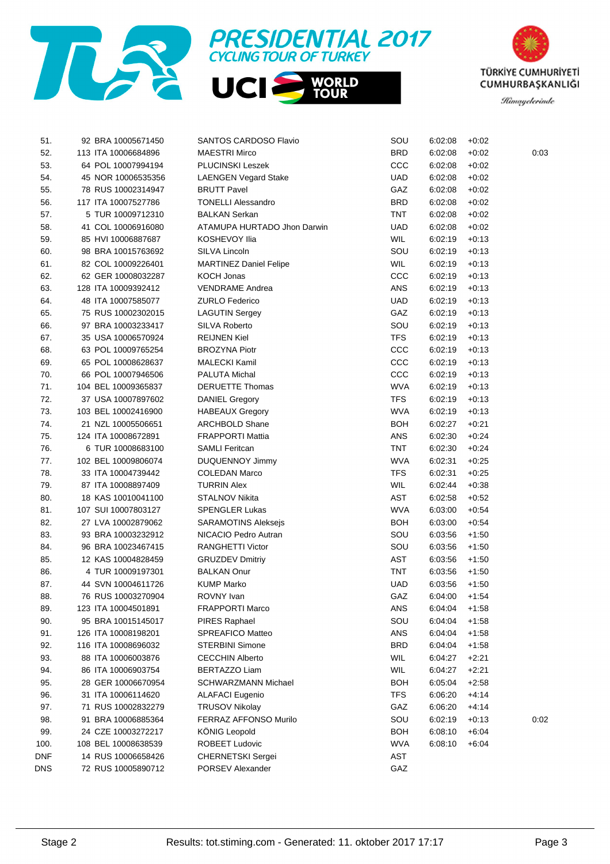





| 51.        | 92 BRA 10005671450  | <b>SANTOS CARDOSO Flavio</b>  | SOU        | 6:02:08 | $+0:02$ |      |
|------------|---------------------|-------------------------------|------------|---------|---------|------|
| 52.        | 113 ITA 10006684896 | <b>MAESTRI Mirco</b>          | <b>BRD</b> | 6:02:08 | $+0.02$ | 0:03 |
| 53.        | 64 POL 10007994194  | <b>PLUCINSKI Leszek</b>       | CCC        | 6:02:08 | $+0.02$ |      |
| 54.        | 45 NOR 10006535356  | <b>LAENGEN Vegard Stake</b>   | UAD        | 6:02:08 | $+0:02$ |      |
| 55.        | 78 RUS 10002314947  | <b>BRUTT Pavel</b>            | GAZ        | 6:02:08 | $+0:02$ |      |
| 56.        | 117 ITA 10007527786 | <b>TONELLI Alessandro</b>     | <b>BRD</b> | 6:02:08 | $+0:02$ |      |
| 57.        | 5 TUR 10009712310   | <b>BALKAN Serkan</b>          | TNT        | 6:02:08 | $+0.02$ |      |
| 58.        | 41 COL 10006916080  | ATAMUPA HURTADO Jhon Darwin   | <b>UAD</b> | 6:02:08 | $+0:02$ |      |
| 59.        | 85 HVI 10006887687  | <b>KOSHEVOY Ilia</b>          | <b>WIL</b> | 6:02:19 | $+0:13$ |      |
| 60.        | 98 BRA 10015763692  | SILVA Lincoln                 | SOU        | 6:02:19 | $+0:13$ |      |
| 61.        | 82 COL 10009226401  | <b>MARTINEZ Daniel Felipe</b> | <b>WIL</b> | 6:02:19 | $+0:13$ |      |
| 62.        | 62 GER 10008032287  | <b>KOCH Jonas</b>             | CCC        | 6:02:19 | $+0:13$ |      |
| 63.        | 128 ITA 10009392412 | <b>VENDRAME Andrea</b>        | ANS        | 6:02:19 | $+0:13$ |      |
| 64.        | 48 ITA 10007585077  | <b>ZURLO Federico</b>         | <b>UAD</b> | 6:02:19 | $+0:13$ |      |
| 65.        | 75 RUS 10002302015  | <b>LAGUTIN Sergey</b>         | GAZ        | 6:02:19 | $+0:13$ |      |
| 66.        | 97 BRA 10003233417  | SILVA Roberto                 | SOU        | 6:02:19 | $+0:13$ |      |
| 67.        | 35 USA 10006570924  | <b>REIJNEN Kiel</b>           | <b>TFS</b> | 6:02:19 | $+0:13$ |      |
| 68.        | 63 POL 10009765254  | <b>BROZYNA Piotr</b>          | CCC        | 6:02:19 | $+0:13$ |      |
| 69.        | 65 POL 10008628637  | <b>MALECKI Kamil</b>          | ccc        | 6:02:19 | $+0:13$ |      |
| 70.        | 66 POL 10007946506  | PALUTA Michal                 | ccc        | 6:02:19 | $+0:13$ |      |
| 71.        | 104 BEL 10009365837 | <b>DERUETTE Thomas</b>        | <b>WVA</b> | 6:02:19 | $+0:13$ |      |
| 72.        | 37 USA 10007897602  | <b>DANIEL Gregory</b>         | <b>TFS</b> | 6:02:19 | $+0:13$ |      |
| 73.        | 103 BEL 10002416900 | <b>HABEAUX Gregory</b>        | <b>WVA</b> | 6:02:19 | $+0:13$ |      |
| 74.        | 21 NZL 10005506651  | <b>ARCHBOLD Shane</b>         | BOH        | 6:02:27 | $+0.21$ |      |
| 75.        | 124 ITA 10008672891 | <b>FRAPPORTI Mattia</b>       | ANS        | 6:02:30 | $+0.24$ |      |
| 76.        | 6 TUR 10008683100   | <b>SAMLI Feritcan</b>         | TNT        | 6:02:30 | $+0.24$ |      |
| 77.        | 102 BEL 10009806074 | <b>DUQUENNOY Jimmy</b>        | <b>WVA</b> | 6:02:31 | $+0.25$ |      |
| 78.        | 33 ITA 10004739442  | <b>COLEDAN Marco</b>          | <b>TFS</b> | 6:02:31 | $+0.25$ |      |
| 79.        | 87 ITA 10008897409  | <b>TURRIN Alex</b>            | <b>WIL</b> | 6:02:44 | $+0.38$ |      |
| 80.        | 18 KAS 10010041100  | STALNOV Nikita                | AST        | 6:02:58 | $+0.52$ |      |
| 81.        | 107 SUI 10007803127 | <b>SPENGLER Lukas</b>         | <b>WVA</b> | 6:03:00 | $+0.54$ |      |
| 82.        | 27 LVA 10002879062  | <b>SARAMOTINS Aleksejs</b>    | <b>BOH</b> | 6:03:00 | $+0.54$ |      |
| 83.        | 93 BRA 10003232912  | NICACIO Pedro Autran          | SOU        | 6:03:56 | $+1:50$ |      |
| 84.        | 96 BRA 10023467415  | <b>RANGHETTI Victor</b>       | SOU        | 6:03:56 | $+1:50$ |      |
| 85.        | 12 KAS 10004828459  | <b>GRUZDEV Dmitriy</b>        | AST        | 6:03:56 | $+1:50$ |      |
| 86.        | 4 TUR 10009197301   | <b>BALKAN Onur</b>            | TNT        | 6:03:56 | $+1:50$ |      |
| 87.        | 44 SVN 10004611726  | <b>KUMP Marko</b>             | UAD        | 6:03:56 | $+1:50$ |      |
| 88.        | 76 RUS 10003270904  | ROVNY Ivan                    | GAZ        | 6:04:00 | $+1:54$ |      |
| 89.        | 123 ITA 10004501891 | <b>FRAPPORTI Marco</b>        | <b>ANS</b> | 6:04:04 | $+1:58$ |      |
| 90.        | 95 BRA 10015145017  | PIRES Raphael                 | SOU        | 6:04:04 | $+1.58$ |      |
| 91.        | 126 ITA 10008198201 | SPREAFICO Matteo              | ANS        | 6:04:04 | $+1:58$ |      |
| 92.        | 116 ITA 10008696032 | <b>STERBINI Simone</b>        | <b>BRD</b> | 6:04:04 | $+1.58$ |      |
| 93.        | 88 ITA 10006003876  | <b>CECCHIN Alberto</b>        | WIL        | 6:04:27 | $+2:21$ |      |
| 94.        | 86 ITA 10006903754  | <b>BERTAZZO Liam</b>          | WIL        | 6:04:27 | $+2:21$ |      |
| 95.        | 28 GER 10006670954  | SCHWARZMANN Michael           | <b>BOH</b> | 6:05:04 | $+2:58$ |      |
| 96.        | 31 ITA 10006114620  | <b>ALAFACI Eugenio</b>        | <b>TFS</b> | 6:06:20 | $+4:14$ |      |
| 97.        | 71 RUS 10002832279  | <b>TRUSOV Nikolay</b>         | GAZ        | 6:06:20 | $+4:14$ |      |
| 98.        | 91 BRA 10006885364  | FERRAZ AFFONSO Murilo         | SOU        | 6:02:19 | $+0:13$ | 0:02 |
| 99.        | 24 CZE 10003272217  | KÖNIG Leopold                 | <b>BOH</b> | 6:08:10 | $+6:04$ |      |
| 100.       | 108 BEL 10008638539 | ROBEET Ludovic                | <b>WVA</b> | 6:08:10 | $+6:04$ |      |
| <b>DNF</b> | 14 RUS 10006658426  | CHERNETSKI Sergei             | AST        |         |         |      |
| DNS        | 72 RUS 10005890712  | PORSEV Alexander              | GAZ        |         |         |      |
|            |                     |                               |            |         |         |      |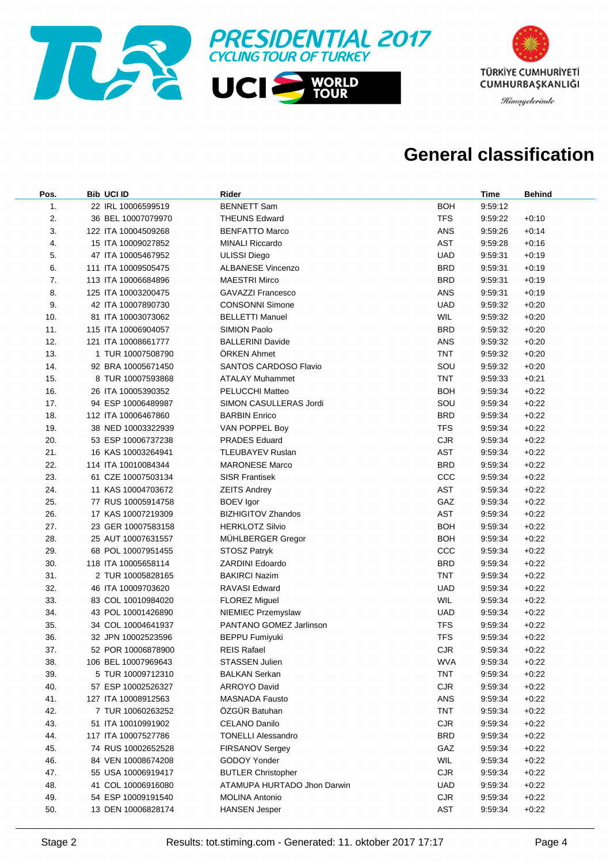



#### **General classification**

| Pos. | <b>Bib UCI ID</b>   | Rider                        |            | <b>Time</b> | <b>Behind</b> |
|------|---------------------|------------------------------|------------|-------------|---------------|
| 1.   | 22 IRL 10006599519  | <b>BENNETT Sam</b>           | <b>BOH</b> | 9:59:12     |               |
| 2.   | 36 BEL 10007079970  | <b>THEUNS Edward</b>         | <b>TFS</b> | 9.59.22     | $+0:10$       |
| 3.   | 122 ITA 10004509268 | <b>BENFATTO Marco</b>        | <b>ANS</b> | 9:59:26     | $+0:14$       |
| 4.   | 15 ITA 10009027852  | <b>MINALI Riccardo</b>       | <b>AST</b> | 9:59:28     | $+0:16$       |
| 5.   | 47 ITA 10005467952  | <b>ULISSI Diego</b>          | <b>UAD</b> | 9:59:31     | $+0:19$       |
| 6.   | 111 ITA 10009505475 | <b>ALBANESE Vincenzo</b>     | <b>BRD</b> | 9:59:31     | $+0.19$       |
| 7.   | 113 ITA 10006684896 | <b>MAESTRI Mirco</b>         | <b>BRD</b> | 9:59:31     | $+0.19$       |
| 8.   | 125 ITA 10003200475 | <b>GAVAZZI Francesco</b>     | ANS        | 9:59:31     | $+0.19$       |
| 9.   | 42 ITA 10007890730  | <b>CONSONNI Simone</b>       | <b>UAD</b> | 9:59:32     | $+0:20$       |
| 10.  | 81 ITA 10003073062  | <b>BELLETTI Manuel</b>       | WIL        | 9.59.32     | $+0:20$       |
| 11.  | 115 ITA 10006904057 | <b>SIMION Paolo</b>          | <b>BRD</b> | 9.59.32     | $+0:20$       |
| 12.  | 121 ITA 10008661777 | <b>BALLERINI Davide</b>      | ANS        | 9.59.32     | $+0:20$       |
| 13.  | 1 TUR 10007508790   | <b>ORKEN Ahmet</b>           | <b>TNT</b> | 9.59.32     | $+0:20$       |
| 14.  | 92 BRA 10005671450  | <b>SANTOS CARDOSO Flavio</b> | SOU        | 9.59.32     | $+0:20$       |
| 15.  | 8 TUR 10007593868   | <b>ATALAY Muhammet</b>       | <b>TNT</b> | 9.59.33     | $+0.21$       |
| 16.  | 26 ITA 10005390352  | <b>PELUCCHI Matteo</b>       | <b>BOH</b> | 9:59:34     | $+0.22$       |
| 17.  | 94 ESP 10006489987  | SIMON CASULLERAS Jordi       | SOU        | 9:59:34     | $+0:22$       |
| 18.  | 112 ITA 10006467860 | <b>BARBIN Enrico</b>         | <b>BRD</b> | 9:59:34     | $+0:22$       |
| 19.  | 38 NED 10003322939  | VAN POPPEL Boy               | <b>TFS</b> | 9:59:34     | $+0:22$       |
| 20.  | 53 ESP 10006737238  | <b>PRADES Eduard</b>         | <b>CJR</b> | 9:59:34     | $+0:22$       |
| 21.  | 16 KAS 10003264941  | <b>TLEUBAYEV Ruslan</b>      | <b>AST</b> | 9:59:34     | $+0:22$       |
| 22.  | 114 ITA 10010084344 | <b>MARONESE Marco</b>        | <b>BRD</b> | 9:59:34     | $+0:22$       |
| 23.  | 61 CZE 10007503134  | <b>SISR Frantisek</b>        | ccc        | 9:59:34     | $+0:22$       |
| 24.  | 11 KAS 10004703672  | <b>ZEITS Andrey</b>          | <b>AST</b> | 9:59:34     | $+0:22$       |
| 25.  | 77 RUS 10005914758  | <b>BOEV</b> Igor             | GAZ        | 9:59:34     | $+0:22$       |
| 26.  | 17 KAS 10007219309  | <b>BIZHIGITOV Zhandos</b>    | AST        | 9:59:34     | $+0:22$       |
| 27.  | 23 GER 10007583158  | <b>HERKLOTZ Silvio</b>       | <b>BOH</b> | 9:59:34     | $+0:22$       |
| 28.  | 25 AUT 10007631557  | MÜHLBERGER Gregor            | <b>BOH</b> | 9:59:34     | $+0:22$       |
| 29.  | 68 POL 10007951455  | STOSZ Patryk                 | ccc        | 9:59:34     | $+0:22$       |
| 30.  | 118 ITA 10005658114 | <b>ZARDINI Edoardo</b>       | <b>BRD</b> | 9:59:34     | $+0:22$       |
| 31.  | 2 TUR 10005828165   | <b>BAKIRCI Nazim</b>         | <b>TNT</b> | 9:59:34     | $+0:22$       |
| 32.  | 46 ITA 10009703620  | <b>RAVASI Edward</b>         | <b>UAD</b> | 9:59:34     | $+0:22$       |
| 33.  | 83 COL 10010984020  | <b>FLOREZ Miguel</b>         | <b>WIL</b> | 9:59:34     | $+0:22$       |
| 34.  | 43 POL 10001426890  | NIEMIEC Przemyslaw           | <b>UAD</b> | 9:59:34     | $+0:22$       |
| 35.  | 34 COL 10004641937  | PANTANO GOMEZ Jarlinson      | <b>TFS</b> | 9:59:34     | $+0:22$       |
| 36.  | 32 JPN 10002523596  | <b>BEPPU Fumiyuki</b>        | <b>TFS</b> | 9:59:34     | $+0:22$       |
| 37.  | 52 POR 10006878900  | <b>REIS Rafael</b>           | CJR        | 9:59:34     | $+0:22$       |
| 38.  | 106 BEL 10007969643 | <b>STASSEN Julien</b>        | <b>WVA</b> | 9:59:34     | $+0:22$       |
| 39.  | 5 TUR 10009712310   | <b>BALKAN Serkan</b>         | <b>TNT</b> | 9:59:34     | $+0:22$       |
| 40.  | 57 ESP 10002526327  | <b>ARROYO David</b>          | <b>CJR</b> | 9:59:34     | $+0:22$       |
| 41.  | 127 ITA 10008912563 | <b>MASNADA Fausto</b>        | <b>ANS</b> | 9:59:34     | $+0:22$       |
| 42.  | 7 TUR 10060263252   | ÖZGÜR Batuhan                | <b>TNT</b> | 9:59:34     | $+0:22$       |
| 43.  | 51 ITA 10010991902  | CELANO Danilo                | <b>CJR</b> | 9:59:34     | $+0:22$       |
| 44.  | 117 ITA 10007527786 | <b>TONELLI Alessandro</b>    | <b>BRD</b> | 9:59:34     | $+0:22$       |
| 45.  | 74 RUS 10002652528  | <b>FIRSANOV Sergey</b>       | GAZ        | 9:59:34     | $+0:22$       |
| 46.  | 84 VEN 10008674208  | GODOY Yonder                 | <b>WIL</b> | 9:59:34     | $+0:22$       |
| 47.  | 55 USA 10006919417  | <b>BUTLER Christopher</b>    | <b>CJR</b> | 9:59:34     | $+0:22$       |
| 48.  | 41 COL 10006916080  | ATAMUPA HURTADO Jhon Darwin  | <b>UAD</b> | 9:59:34     | $+0:22$       |
| 49.  | 54 ESP 10009191540  | <b>MOLINA Antonio</b>        | <b>CJR</b> | 9:59:34     | $+0:22$       |
| 50.  | 13 DEN 10006828174  | <b>HANSEN Jesper</b>         | AST        | 9:59:34     | $+0:22$       |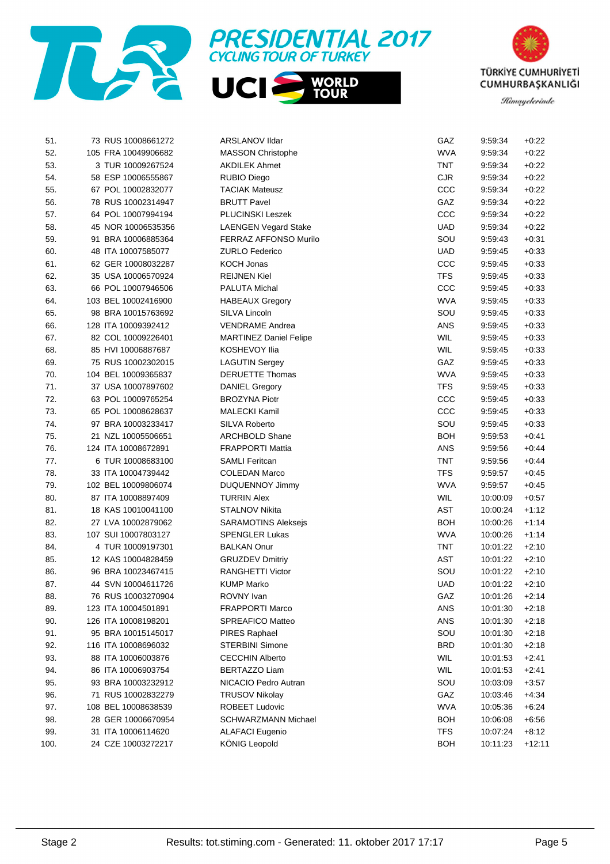





| 51.  |                     | 73 RUS 10008661272 | ARSLANOV Ildar                | GAZ        | 9.59.34  | $+0.22$  |
|------|---------------------|--------------------|-------------------------------|------------|----------|----------|
| 52.  | 105 FRA 10049906682 |                    | <b>MASSON Christophe</b>      | <b>WVA</b> | 9:59:34  | $+0.22$  |
| 53.  |                     | 3 TUR 10009267524  | <b>AKDILEK Ahmet</b>          | <b>TNT</b> | 9:59:34  | $+0.22$  |
| 54.  |                     | 58 ESP 10006555867 | <b>RUBIO Diego</b>            | <b>CJR</b> | 9:59:34  | $+0.22$  |
| 55.  |                     | 67 POL 10002832077 | <b>TACIAK Mateusz</b>         | ccc        | 9:59:34  | $+0.22$  |
| 56.  |                     | 78 RUS 10002314947 | <b>BRUTT Pavel</b>            | GAZ        | 9:59:34  | $+0.22$  |
| 57.  |                     | 64 POL 10007994194 | PLUCINSKI Leszek              | ccc        | 9:59:34  | $+0.22$  |
| 58.  |                     | 45 NOR 10006535356 | <b>LAENGEN Vegard Stake</b>   | <b>UAD</b> | 9:59:34  | $+0.22$  |
| 59.  |                     | 91 BRA 10006885364 | FERRAZ AFFONSO Murilo         | SOU        | 9:59:43  | $+0.31$  |
| 60.  |                     | 48 ITA 10007585077 | <b>ZURLO Federico</b>         | <b>UAD</b> | 9:59:45  | $+0.33$  |
| 61.  |                     | 62 GER 10008032287 | <b>KOCH Jonas</b>             | ccc        | 9:59:45  | $+0.33$  |
| 62.  |                     | 35 USA 10006570924 | <b>REIJNEN Kiel</b>           | <b>TFS</b> | 9:59:45  | $+0.33$  |
| 63.  |                     | 66 POL 10007946506 | PALUTA Michal                 | ccc        | 9:59:45  | $+0.33$  |
| 64.  | 103 BEL 10002416900 |                    | <b>HABEAUX Gregory</b>        | <b>WVA</b> | 9:59:45  | $+0.33$  |
| 65.  |                     | 98 BRA 10015763692 | SILVA Lincoln                 | SOU        | 9:59:45  | $+0.33$  |
| 66.  | 128 ITA 10009392412 |                    | <b>VENDRAME Andrea</b>        | <b>ANS</b> | 9:59:45  | $+0.33$  |
| 67.  |                     | 82 COL 10009226401 | <b>MARTINEZ Daniel Felipe</b> | WIL        | 9:59:45  | $+0.33$  |
| 68.  |                     | 85 HVI 10006887687 | KOSHEVOY Ilia                 | WIL        | 9:59:45  | $+0.33$  |
| 69.  |                     | 75 RUS 10002302015 | <b>LAGUTIN Sergey</b>         | GAZ        | 9:59:45  | $+0.33$  |
| 70.  | 104 BEL 10009365837 |                    | <b>DERUETTE Thomas</b>        | <b>WVA</b> | 9:59:45  | $+0.33$  |
| 71.  |                     | 37 USA 10007897602 | <b>DANIEL Gregory</b>         | <b>TFS</b> | 9:59:45  | $+0.33$  |
| 72.  |                     | 63 POL 10009765254 | <b>BROZYNA Piotr</b>          | ccc        | 9:59:45  | $+0.33$  |
| 73.  |                     | 65 POL 10008628637 | <b>MALECKI Kamil</b>          | ccc        | 9:59:45  | $+0.33$  |
| 74.  |                     | 97 BRA 10003233417 | <b>SILVA Roberto</b>          | SOU        | 9:59:45  | $+0.33$  |
| 75.  |                     | 21 NZL 10005506651 | <b>ARCHBOLD Shane</b>         | <b>BOH</b> | 9:59:53  | $+0.41$  |
| 76.  | 124 ITA 10008672891 |                    | <b>FRAPPORTI Mattia</b>       | ANS        | 9:59:56  | $+0.44$  |
| 77.  |                     | 6 TUR 10008683100  | <b>SAMLI Feritcan</b>         | <b>TNT</b> | 9:59:56  | $+0.44$  |
| 78.  | 33 ITA 10004739442  |                    | <b>COLEDAN Marco</b>          | <b>TFS</b> | 9:59:57  | $+0.45$  |
| 79.  | 102 BEL 10009806074 |                    | DUQUENNOY Jimmy               | <b>WVA</b> | 9:59:57  | $+0.45$  |
| 80.  | 87 ITA 10008897409  |                    | <b>TURRIN Alex</b>            | WIL        | 10:00:09 | $+0.57$  |
| 81.  |                     | 18 KAS 10010041100 | <b>STALNOV Nikita</b>         | <b>AST</b> | 10:00:24 | $+1:12$  |
| 82.  |                     | 27 LVA 10002879062 | <b>SARAMOTINS Aleksejs</b>    | <b>BOH</b> | 10:00:26 | $+1:14$  |
| 83.  | 107 SUI 10007803127 |                    | <b>SPENGLER Lukas</b>         | <b>WVA</b> | 10:00:26 | $+1:14$  |
| 84.  |                     | 4 TUR 10009197301  | <b>BALKAN Onur</b>            | <b>TNT</b> | 10:01:22 | $+2:10$  |
| 85.  |                     | 12 KAS 10004828459 | <b>GRUZDEV Dmitriy</b>        | <b>AST</b> | 10:01:22 | $+2:10$  |
| 86.  |                     | 96 BRA 10023467415 | <b>RANGHETTI Victor</b>       | SOU        | 10:01:22 | $+2:10$  |
| 87.  |                     | 44 SVN 10004611726 | <b>KUMP Marko</b>             | <b>UAD</b> | 10:01:22 | $+2:10$  |
| 88.  |                     | 76 RUS 10003270904 | ROVNY Ivan                    | GAZ        | 10:01:26 | $+2:14$  |
| 89.  | 123 ITA 10004501891 |                    | <b>FRAPPORTI Marco</b>        | <b>ANS</b> | 10:01:30 | $+2:18$  |
| 90.  | 126 ITA 10008198201 |                    | <b>SPREAFICO Matteo</b>       | ANS        | 10:01:30 | $+2:18$  |
| 91.  |                     | 95 BRA 10015145017 | <b>PIRES Raphael</b>          | SOU        | 10:01:30 | $+2:18$  |
| 92.  | 116 ITA 10008696032 |                    | <b>STERBINI Simone</b>        | <b>BRD</b> | 10:01:30 | $+2:18$  |
| 93.  | 88 ITA 10006003876  |                    | <b>CECCHIN Alberto</b>        | WIL        | 10:01:53 | $+2:41$  |
| 94.  |                     | 86 ITA 10006903754 | <b>BERTAZZO Liam</b>          | WIL        | 10:01:53 | $+2:41$  |
| 95.  |                     | 93 BRA 10003232912 | NICACIO Pedro Autran          | SOU        | 10:03:09 | $+3.57$  |
| 96.  |                     | 71 RUS 10002832279 | <b>TRUSOV Nikolay</b>         | GAZ        | 10:03:46 | $+4:34$  |
| 97.  | 108 BEL 10008638539 |                    | <b>ROBEET Ludovic</b>         | <b>WVA</b> | 10:05:36 | $+6:24$  |
| 98.  |                     | 28 GER 10006670954 | SCHWARZMANN Michael           | <b>BOH</b> | 10:06:08 | $+6.56$  |
| 99.  |                     | 31 ITA 10006114620 | <b>ALAFACI Eugenio</b>        | <b>TFS</b> | 10:07:24 | $+8:12$  |
| 100. |                     | 24 CZE 10003272217 | KÖNIG Leopold                 | <b>BOH</b> | 10:11:23 | $+12:11$ |
|      |                     |                    |                               |            |          |          |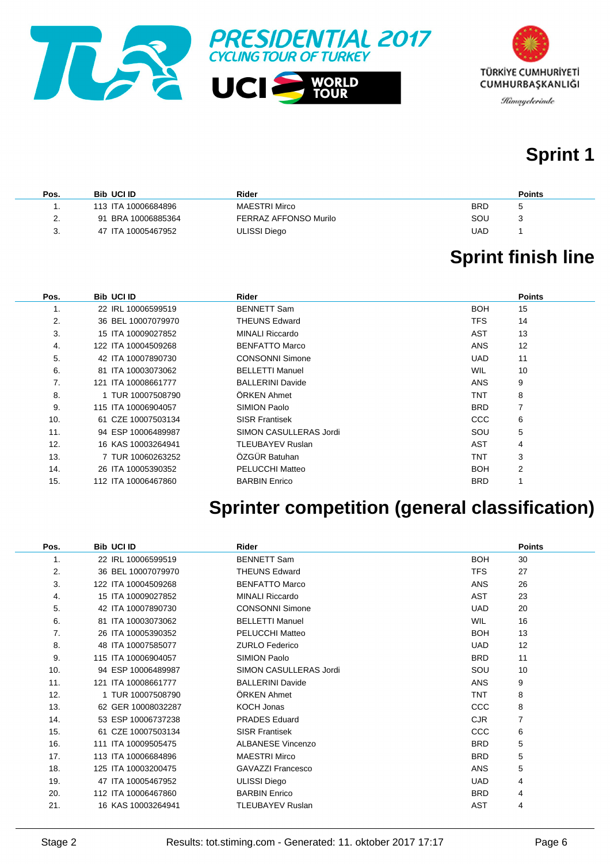



## **Sprint 1**

| Pos.                      | <b>Bib UCI ID</b>     | Rider                 | <b>Points</b> |
|---------------------------|-----------------------|-----------------------|---------------|
|                           | 113 ITA 10006684896   | MAESTRI Mirco         | <b>BRD</b>    |
| $\mathcal{P}$<br><u>.</u> | BRA 10006885364<br>91 | FERRAZ AFFONSO Murilo | SOU           |
| J.                        | 47 ITA 10005467952    | ULISSI Diego          | UAD           |

# **Sprint finish line**

| Pos. | <b>Bib UCI ID</b>   | Rider                   |            | <b>Points</b> |
|------|---------------------|-------------------------|------------|---------------|
| 1.   | 22 IRL 10006599519  | <b>BENNETT Sam</b>      | <b>BOH</b> | 15            |
| 2.   | 36 BEL 10007079970  | <b>THEUNS Edward</b>    | <b>TFS</b> | 14            |
| 3.   | 15 ITA 10009027852  | <b>MINALI Riccardo</b>  | AST        | 13            |
| 4.   | 122 ITA 10004509268 | <b>BENFATTO Marco</b>   | <b>ANS</b> | 12            |
| 5.   | 42 ITA 10007890730  | <b>CONSONNI Simone</b>  | <b>UAD</b> | 11            |
| 6.   | 81 ITA 10003073062  | <b>BELLETTI Manuel</b>  | <b>WIL</b> | 10            |
| 7.   | 121 ITA 10008661777 | <b>BALLERINI Davide</b> | <b>ANS</b> | 9             |
| 8.   | 1 TUR 10007508790   | ÖRKEN Ahmet             | <b>TNT</b> | 8             |
| 9.   | 115 ITA 10006904057 | SIMION Paolo            | <b>BRD</b> | 7             |
| 10.  | 61 CZE 10007503134  | <b>SISR Frantisek</b>   | CCC        | 6             |
| 11.  | 94 ESP 10006489987  | SIMON CASULLERAS Jordi  | SOU        | 5             |
| 12.  | 16 KAS 10003264941  | TLEUBAYEV Ruslan        | <b>AST</b> | 4             |
| 13.  | 7 TUR 10060263252   | ÖZGÜR Batuhan           | TNT        | 3             |
| 14.  | 26 ITA 10005390352  | <b>PELUCCHI Matteo</b>  | <b>BOH</b> | 2             |
| 15.  | 112 ITA 10006467860 | <b>BARBIN Enrico</b>    | <b>BRD</b> |               |

## **Sprinter competition (general classification)**

| Pos. | <b>Bib UCI ID</b>   | <b>Rider</b>             |            | <b>Points</b> |
|------|---------------------|--------------------------|------------|---------------|
| 1.   | 22 IRL 10006599519  | <b>BENNETT Sam</b>       | <b>BOH</b> | 30            |
| 2.   | 36 BEL 10007079970  | <b>THEUNS Edward</b>     | <b>TFS</b> | 27            |
| 3.   | 122 ITA 10004509268 | <b>BENFATTO Marco</b>    | <b>ANS</b> | 26            |
| 4.   | 15 ITA 10009027852  | <b>MINALI Riccardo</b>   | <b>AST</b> | 23            |
| 5.   | 42 ITA 10007890730  | <b>CONSONNI Simone</b>   | <b>UAD</b> | 20            |
| 6.   | 81 ITA 10003073062  | <b>BELLETTI Manuel</b>   | <b>WIL</b> | 16            |
| 7.   | 26 ITA 10005390352  | <b>PELUCCHI Matteo</b>   | <b>BOH</b> | 13            |
| 8.   | 48 ITA 10007585077  | <b>ZURLO Federico</b>    | <b>UAD</b> | 12            |
| 9.   | 115 ITA 10006904057 | SIMION Paolo             | <b>BRD</b> | 11            |
| 10.  | 94 ESP 10006489987  | SIMON CASULLERAS Jordi   | SOU        | 10            |
| 11.  | 121 ITA 10008661777 | <b>BALLERINI Davide</b>  | ANS        | 9             |
| 12.  | 1 TUR 10007508790   | ÖRKEN Ahmet              | <b>TNT</b> | 8             |
| 13.  | 62 GER 10008032287  | <b>KOCH Jonas</b>        | <b>CCC</b> | 8             |
| 14.  | 53 ESP 10006737238  | <b>PRADES Eduard</b>     | <b>CJR</b> | 7             |
| 15.  | 61 CZE 10007503134  | <b>SISR Frantisek</b>    | <b>CCC</b> | 6             |
| 16.  | 111 ITA 10009505475 | <b>ALBANESE Vincenzo</b> | <b>BRD</b> | 5             |
| 17.  | 113 ITA 10006684896 | <b>MAESTRI Mirco</b>     | <b>BRD</b> | 5             |
| 18.  | 125 ITA 10003200475 | <b>GAVAZZI Francesco</b> | <b>ANS</b> | 5             |
| 19.  | 47 ITA 10005467952  | <b>ULISSI Diego</b>      | <b>UAD</b> | 4             |
| 20.  | 112 ITA 10006467860 | <b>BARBIN Enrico</b>     | <b>BRD</b> | 4             |
| 21.  | 16 KAS 10003264941  | <b>TLEUBAYEV Ruslan</b>  | AST        | 4             |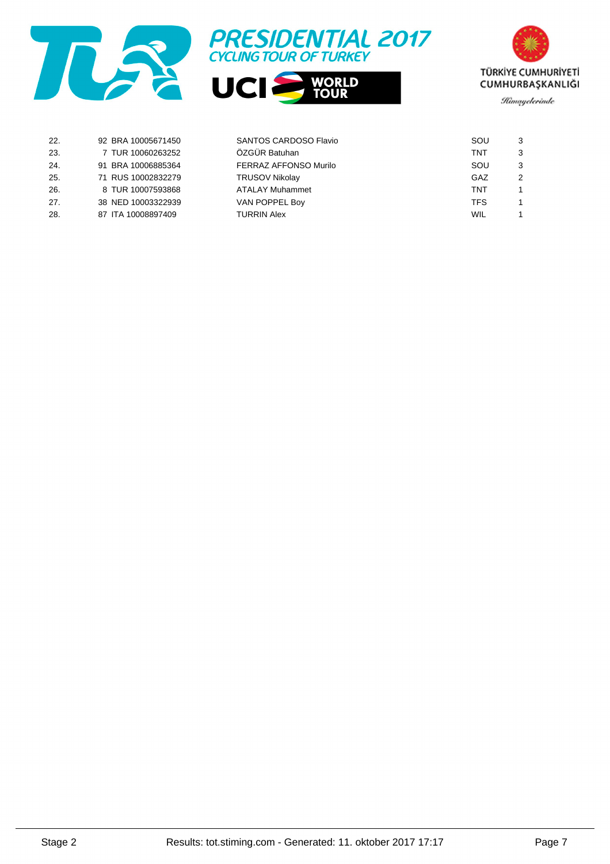





| 22. | 92 BRA 10005671450 | SANTOS CARDOSO Flavio  | SOU        |   |
|-----|--------------------|------------------------|------------|---|
| 23. | 7 TUR 10060263252  | ÖZGÜR Batuhan          | TNT        |   |
| 24. | 91 BRA 10006885364 | FERRAZ AFFONSO Murilo  | SOU        |   |
| 25. | 71 RUS 10002832279 | <b>TRUSOV Nikolay</b>  | GAZ        | 2 |
| 26. | 8 TUR 10007593868  | <b>ATALAY Muhammet</b> | TNT        |   |
| 27. | 38 NED 10003322939 | VAN POPPEL Boy         | <b>TFS</b> |   |
| 28. | 87 ITA 10008897409 | <b>TURRIN Alex</b>     | WIL        |   |
|     |                    |                        |            |   |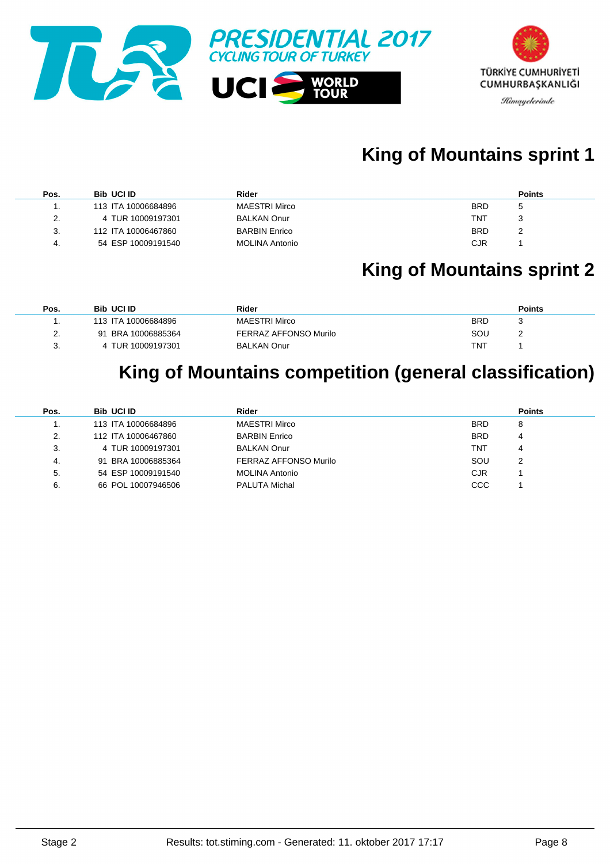

## **King of Mountains sprint 1**

| Pos. | <b>Bib UCI ID</b>   | Rider                 | <b>Points</b> |
|------|---------------------|-----------------------|---------------|
|      | 113 ITA 10006684896 | MAESTRI Mirco         | <b>BRD</b>    |
| 2.   | 4 TUR 10009197301   | <b>BALKAN Onur</b>    | TNT           |
| 3.   | 112 ITA 10006467860 | <b>BARBIN Enrico</b>  | <b>BRD</b>    |
| 4.   | 54 ESP 10009191540  | <b>MOLINA Antonio</b> | <b>CJR</b>    |

### **King of Mountains sprint 2**

| Pos. | <b>Bib UCI ID</b>   | Rider                 | <b>Points</b> |
|------|---------------------|-----------------------|---------------|
|      | 113 ITA 10006684896 | MAESTRI Mirco         | BRD           |
|      | 91 BRA 10006885364  | FERRAZ AFFONSO Murilo | SOU           |
|      | 4 TUR 10009197301   | <b>BALKAN Onur</b>    | TNT           |

## **King of Mountains competition (general classification)**

| Pos. | <b>Bib UCI ID</b>   | Rider                 |            | <b>Points</b> |
|------|---------------------|-----------------------|------------|---------------|
| .,   | 113 ITA 10006684896 | <b>MAESTRI Mirco</b>  | <b>BRD</b> | 8             |
| 2.   | 112 ITA 10006467860 | <b>BARBIN Enrico</b>  | <b>BRD</b> | 4             |
| 3.   | 4 TUR 10009197301   | <b>BALKAN Onur</b>    | TNT        | 4             |
| -4.  | 91 BRA 10006885364  | FERRAZ AFFONSO Murilo | SOU        | 2             |
| 5.   | 54 ESP 10009191540  | <b>MOLINA Antonio</b> | CJR        |               |
| 6.   | 66 POL 10007946506  | <b>PALUTA Michal</b>  | CCC        |               |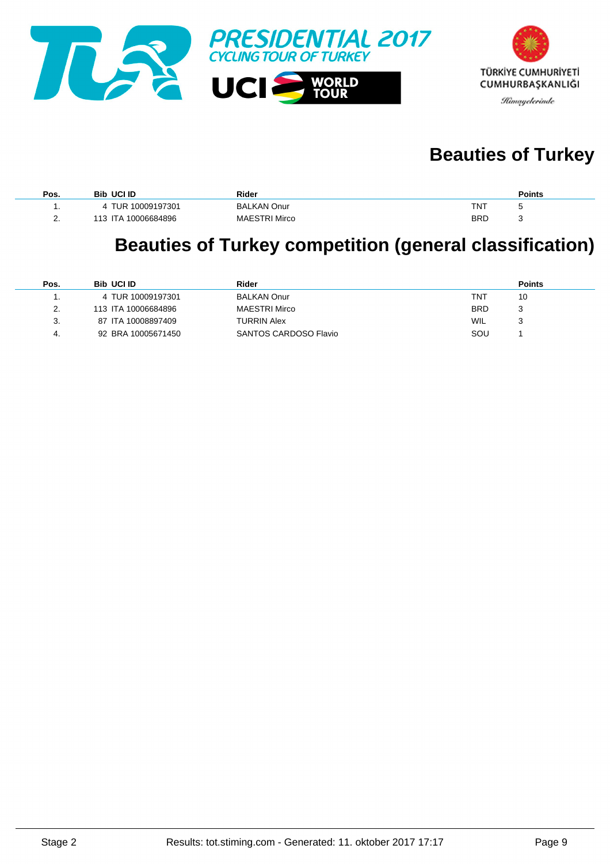

## **Beauties of Turkey**

| Pos.     | <b>Bib UCI ID</b>   | Rider                |            | <b>Points</b> |
|----------|---------------------|----------------------|------------|---------------|
|          | 4 TUR 10009197301   | <b>BALKAN Onur</b>   | TNT        | -14           |
| <u>.</u> | 113 ITA 10006684896 | <b>MAESTRI Mirco</b> | <b>BRD</b> | پ             |

#### **Beauties of Turkey competition (general classification)**

| Pos.     | <b>Bib UCI ID</b>   | Rider                 |            | <b>Points</b> |
|----------|---------------------|-----------------------|------------|---------------|
|          | 4 TUR 10009197301   | <b>BALKAN Onur</b>    | TNT        | 10            |
| <u>.</u> | 113 ITA 10006684896 | <b>MAESTRI Mirco</b>  | <b>BRD</b> |               |
| 3.       | 87 ITA 10008897409  | TURRIN Alex           | WIL        |               |
| 4.       | 92 BRA 10005671450  | SANTOS CARDOSO Flavio | SOU        |               |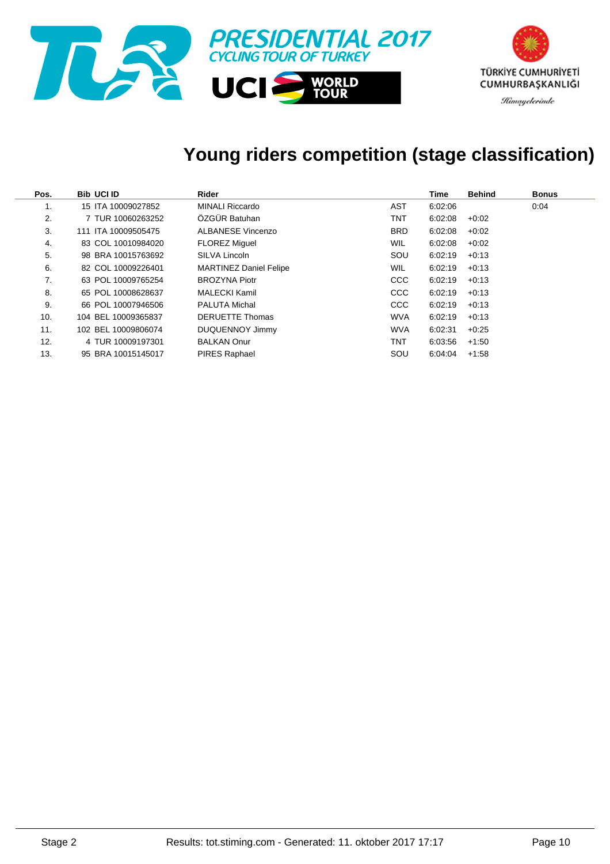

# **Young riders competition (stage classification)**

| Pos. | <b>Bib UCI ID</b>   | Rider                         |            | Time    | <b>Behind</b> | <b>Bonus</b> |
|------|---------------------|-------------------------------|------------|---------|---------------|--------------|
| 1.   | 15 ITA 10009027852  | <b>MINALI Riccardo</b>        | AST        | 6:02:06 |               | 0:04         |
| 2.   | 7 TUR 10060263252   | ÖZGÜR Batuhan                 | TNT        | 6:02:08 | $+0:02$       |              |
| 3.   | 111 ITA 10009505475 | ALBANESE Vincenzo             | <b>BRD</b> | 6:02:08 | $+0:02$       |              |
| 4.   | 83 COL 10010984020  | <b>FLOREZ Miguel</b>          | <b>WIL</b> | 6:02:08 | $+0:02$       |              |
| 5.   | 98 BRA 10015763692  | SILVA Lincoln                 | SOU        | 6:02:19 | $+0:13$       |              |
| 6.   | 82 COL 10009226401  | <b>MARTINEZ Daniel Felipe</b> | <b>WIL</b> | 6:02:19 | $+0.13$       |              |
| 7.   | 63 POL 10009765254  | <b>BROZYNA Piotr</b>          | <b>CCC</b> | 6:02:19 | $+0:13$       |              |
| 8.   | 65 POL 10008628637  | MALECKI Kamil                 | <b>CCC</b> | 6:02:19 | $+0.13$       |              |
| 9.   | 66 POL 10007946506  | <b>PALUTA Michal</b>          | <b>CCC</b> | 6:02:19 | $+0:13$       |              |
| 10.  | 104 BEL 10009365837 | <b>DERUETTE Thomas</b>        | <b>WVA</b> | 6:02:19 | $+0.13$       |              |
| 11.  | 102 BEL 10009806074 | DUQUENNOY Jimmy               | <b>WVA</b> | 6:02:31 | $+0.25$       |              |
| 12.  | 4 TUR 10009197301   | <b>BALKAN Onur</b>            | TNT        | 6:03:56 | $+1:50$       |              |
| 13.  | 95 BRA 10015145017  | <b>PIRES Raphael</b>          | SOU        | 6:04:04 | $+1.58$       |              |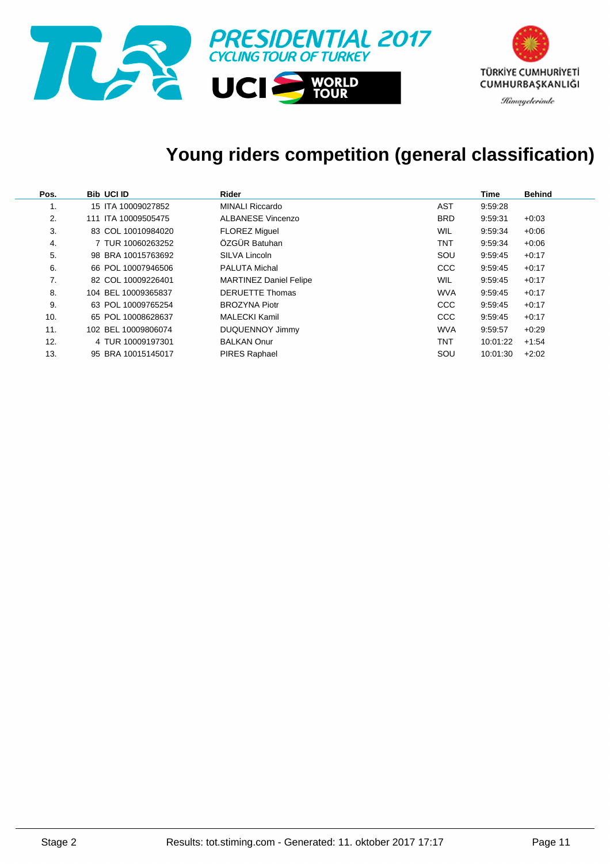

## **Young riders competition (general classification)**

| Pos. | <b>Bib UCI ID</b>   | Rider                         |            | Time     | <b>Behind</b> |
|------|---------------------|-------------------------------|------------|----------|---------------|
|      | 15 ITA 10009027852  | <b>MINALI Riccardo</b>        | AST        | 9:59:28  |               |
| 2.   | 111 ITA 10009505475 | ALBANESE Vincenzo             | <b>BRD</b> | 9:59:31  | $+0.03$       |
| 3.   | 83 COL 10010984020  | <b>FLOREZ Miquel</b>          | WIL        | 9:59:34  | $+0.06$       |
| 4.   | 7 TUR 10060263252   | ÖZGÜR Batuhan                 | <b>TNT</b> | 9:59:34  | $+0.06$       |
| 5.   | 98 BRA 10015763692  | SILVA Lincoln                 | SOU        | 9:59:45  | $+0.17$       |
| 6.   | 66 POL 10007946506  | <b>PALUTA Michal</b>          | <b>CCC</b> | 9:59:45  | $+0.17$       |
| 7.   | 82 COL 10009226401  | <b>MARTINEZ Daniel Felipe</b> | WIL        | 9:59:45  | $+0.17$       |
| 8.   | 104 BEL 10009365837 | <b>DERUETTE Thomas</b>        | <b>WVA</b> | 9:59:45  | $+0.17$       |
| 9.   | 63 POL 10009765254  | <b>BROZYNA Piotr</b>          | <b>CCC</b> | 9:59:45  | $+0.17$       |
| 10.  | 65 POL 10008628637  | <b>MALECKI Kamil</b>          | <b>CCC</b> | 9:59:45  | $+0.17$       |
| 11.  | 102 BEL 10009806074 | DUQUENNOY Jimmy               | <b>WVA</b> | 9:59:57  | $+0.29$       |
| 12.  | 4 TUR 10009197301   | <b>BALKAN Onur</b>            | <b>TNT</b> | 10:01:22 | $+1.54$       |
| 13.  | 95 BRA 10015145017  | <b>PIRES Raphael</b>          | SOU        | 10:01:30 | $+2:02$       |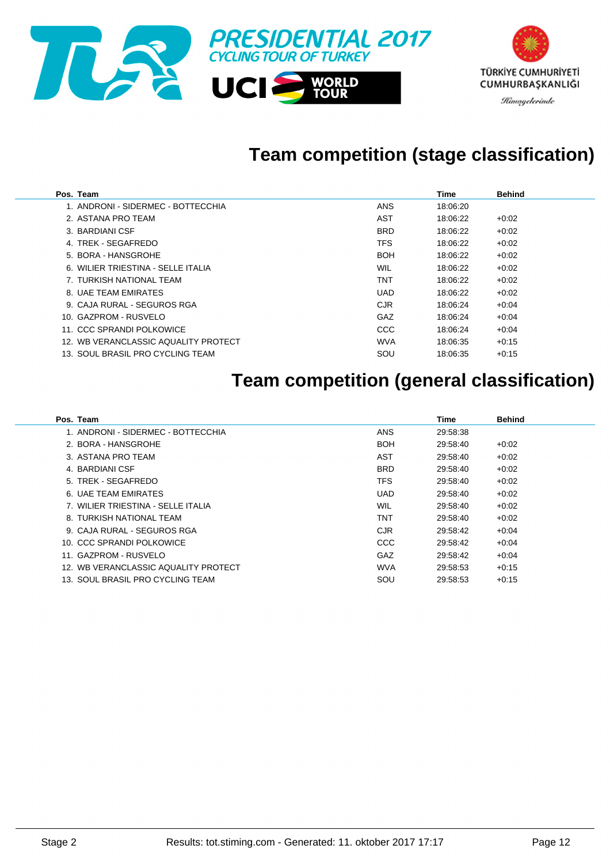

## **Team competition (stage classification)**

| Pos. Team                            |            | Time     | <b>Behind</b> |
|--------------------------------------|------------|----------|---------------|
| 1. ANDRONI - SIDERMEC - BOTTECCHIA   | <b>ANS</b> | 18:06:20 |               |
| 2. ASTANA PRO TEAM                   | AST        | 18:06:22 | $+0.02$       |
| 3. BARDIANI CSF                      | <b>BRD</b> | 18:06:22 | $+0:02$       |
| 4. TREK - SEGAFREDO                  | <b>TFS</b> | 18:06:22 | $+0:02$       |
| 5. BORA - HANSGROHE                  | <b>BOH</b> | 18:06:22 | $+0:02$       |
| 6. WILIER TRIESTINA - SELLE ITALIA   | <b>WIL</b> | 18:06:22 | $+0:02$       |
| 7. TURKISH NATIONAL TEAM             | TNT        | 18:06:22 | $+0:02$       |
| 8. UAF TEAM EMIRATES                 | <b>UAD</b> | 18:06:22 | $+0:02$       |
| 9. CAJA RURAL - SEGUROS RGA          | CJR.       | 18:06:24 | $+0.04$       |
| 10. GAZPROM - RUSVELO                | GAZ        | 18:06:24 | $+0.04$       |
| 11. CCC SPRANDI POLKOWICE            | <b>CCC</b> | 18:06:24 | $+0.04$       |
| 12. WB VERANCLASSIC AQUALITY PROTECT | <b>WVA</b> | 18:06:35 | $+0:15$       |
| 13. SOUL BRASIL PRO CYCLING TEAM     | SOU        | 18:06:35 | $+0.15$       |

## **Team competition (general classification)**

| Pos. Team                            |            | Time     | <b>Behind</b> |
|--------------------------------------|------------|----------|---------------|
| 1. ANDRONI - SIDERMEC - BOTTECCHIA   | <b>ANS</b> | 29:58:38 |               |
| 2. BORA - HANSGROHE                  | <b>BOH</b> | 29:58:40 | $+0:02$       |
| 3. ASTANA PRO TEAM                   | AST        | 29:58:40 | $+0.02$       |
| 4. BARDIANI CSF                      | <b>BRD</b> | 29:58:40 | $+0:02$       |
| 5. TREK - SEGAFREDO                  | <b>TFS</b> | 29:58:40 | $+0:02$       |
| 6. UAE TEAM EMIRATES                 | <b>UAD</b> | 29:58:40 | $+0:02$       |
| 7. WILIER TRIESTINA - SELLE ITALIA   | WIL        | 29:58:40 | $+0.02$       |
| 8. TURKISH NATIONAL TEAM             | TNT        | 29:58:40 | $+0:02$       |
| 9. CAJA RURAL - SEGUROS RGA          | <b>CJR</b> | 29:58:42 | $+0.04$       |
| 10. CCC SPRANDI POLKOWICE            | CCC        | 29:58:42 | $+0.04$       |
| 11. GAZPROM - RUSVELO                | GAZ        | 29:58:42 | $+0.04$       |
| 12. WB VERANCLASSIC AQUALITY PROTECT | <b>WVA</b> | 29.58.53 | $+0:15$       |
| 13. SOUL BRASIL PRO CYCLING TEAM     | SOU        | 29.58.53 | $+0:15$       |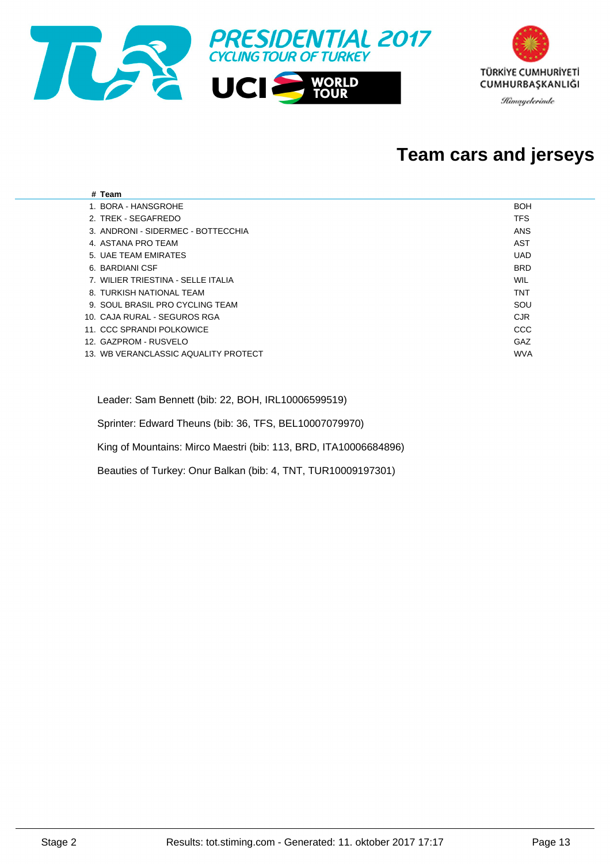

#### **Team cars and jerseys**

| # Team                               |            |
|--------------------------------------|------------|
| 1. BORA - HANSGROHE                  | <b>BOH</b> |
| 2. TREK - SEGAFREDO                  | <b>TFS</b> |
| 3. ANDRONI - SIDERMEC - BOTTECCHIA   | ANS        |
| 4. ASTANA PRO TEAM                   | <b>AST</b> |
| 5. UAE TEAM EMIRATES                 | <b>UAD</b> |
| 6. BARDIANI CSF                      | <b>BRD</b> |
| 7. WILIER TRIESTINA - SELLE ITALIA   | WIL        |
| 8. TURKISH NATIONAL TEAM             | <b>TNT</b> |
| 9. SOUL BRASIL PRO CYCLING TEAM      | SOU        |
| 10. CAJA RURAL - SEGUROS RGA         | <b>CJR</b> |
| 11. CCC SPRANDI POLKOWICE            | CCC        |
| 12. GAZPROM - RUSVELO                | GAZ        |
| 13. WB VERANCLASSIC AQUALITY PROTECT | <b>WVA</b> |
|                                      |            |

Leader: Sam Bennett (bib: 22, BOH, IRL10006599519)

Sprinter: Edward Theuns (bib: 36, TFS, BEL10007079970)

King of Mountains: Mirco Maestri (bib: 113, BRD, ITA10006684896)

Beauties of Turkey: Onur Balkan (bib: 4, TNT, TUR10009197301)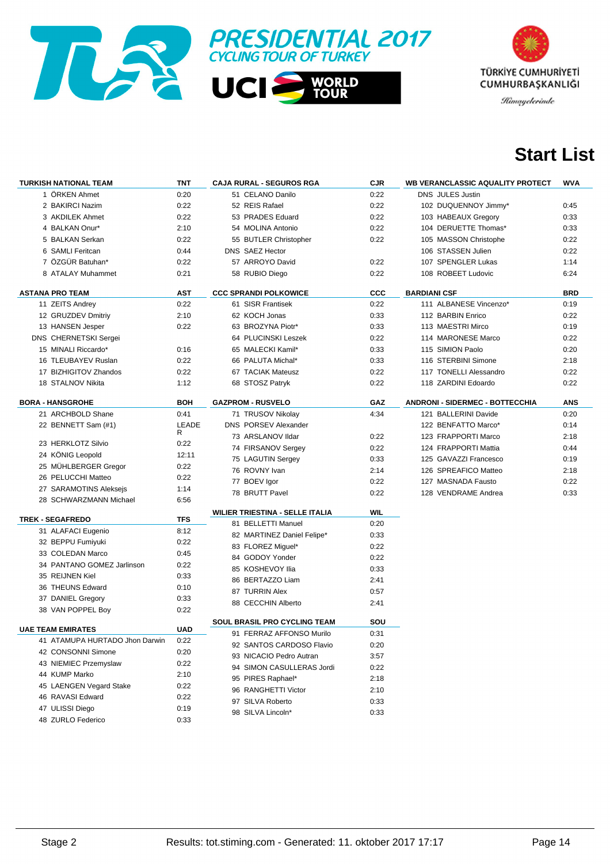



### **Start List**

| <b>TURKISH NATIONAL TEAM</b>   | TNT        | <b>CAJA RURAL - SEGUROS RGA</b>        | <b>CJR</b> | WB VERANCLASSIC AQUALITY PROTECT       | <b>WVA</b> |
|--------------------------------|------------|----------------------------------------|------------|----------------------------------------|------------|
| 1 ÖRKEN Ahmet                  | 0:20       | 51 CELANO Danilo                       | 0:22       | <b>DNS JULES Justin</b>                |            |
| 2 BAKIRCI Nazim                | 0:22       | 52 REIS Rafael                         | 0:22       | 102 DUQUENNOY Jimmy*                   | 0:45       |
| 3 AKDILEK Ahmet                | 0:22       | 53 PRADES Eduard                       | 0:22       | 103 HABEAUX Gregory                    | 0:33       |
| 4 BALKAN Onur*                 | 2:10       | 54 MOLINA Antonio                      | 0:22       | 104 DERUETTE Thomas*                   | 0:33       |
| 5 BALKAN Serkan                | 0:22       | 55 BUTLER Christopher                  | 0:22       | 105 MASSON Christophe                  | 0:22       |
| 6 SAMLI Feritcan               | 0:44       | DNS SAEZ Hector                        |            | 106 STASSEN Julien                     | 0:22       |
| 7 ÖZGÜR Batuhan*               | 0:22       | 57 ARROYO David                        | 0:22       | 107 SPENGLER Lukas                     | 1:14       |
| 8 ATALAY Muhammet              | 0:21       | 58 RUBIO Diego                         | 0:22       | 108 ROBEET Ludovic                     | 6:24       |
|                                |            |                                        |            |                                        |            |
| <b>ASTANA PRO TEAM</b>         | AST        | <b>CCC SPRANDI POLKOWICE</b>           | CCC        | <b>BARDIANI CSF</b>                    | <b>BRD</b> |
| 11 ZEITS Andrey                | 0:22       | 61 SISR Frantisek                      | 0:22       | 111 ALBANESE Vincenzo*                 | 0:19       |
| 12 GRUZDEV Dmitriy             | 2:10       | 62 KOCH Jonas                          | 0:33       | 112 BARBIN Enrico                      | 0:22       |
| 13 HANSEN Jesper               | 0:22       | 63 BROZYNA Piotr*                      | 0:33       | 113 MAESTRI Mirco                      | 0:19       |
| <b>DNS CHERNETSKI Sergei</b>   |            | 64 PLUCINSKI Leszek                    | 0:22       | 114 MARONESE Marco                     | 0:22       |
| 15 MINALI Riccardo*            | 0:16       | 65 MALECKI Kamil*                      | 0:33       | 115 SIMION Paolo                       | 0:20       |
| 16 TLEUBAYEV Ruslan            | 0:22       | 66 PALUTA Michal*                      | 0:33       | 116 STERBINI Simone                    | 2:18       |
| 17 BIZHIGITOV Zhandos          | 0:22       | 67 TACIAK Mateusz                      | 0:22       | 117 TONELLI Alessandro                 | 0:22       |
| 18 STALNOV Nikita              | 1:12       | 68 STOSZ Patryk                        | 0:22       | 118 ZARDINI Edoardo                    | 0:22       |
| <b>BORA - HANSGROHE</b>        | <b>BOH</b> | <b>GAZPROM - RUSVELO</b>               | GAZ        | <b>ANDRONI - SIDERMEC - BOTTECCHIA</b> | <b>ANS</b> |
| 21 ARCHBOLD Shane              | 0:41       | 71 TRUSOV Nikolay                      | 4:34       | 121 BALLERINI Davide                   | 0:20       |
| 22 BENNETT Sam (#1)            | LEADE      | DNS PORSEV Alexander                   |            | 122 BENFATTO Marco*                    | 0:14       |
|                                | R          | 73 ARSLANOV Ildar                      | 0:22       | 123 FRAPPORTI Marco                    | 2:18       |
| 23 HERKLOTZ Silvio             | 0:22       | 74 FIRSANOV Sergey                     | 0:22       | 124 FRAPPORTI Mattia                   | 0:44       |
| 24 KÖNIG Leopold               | 12:11      | 75 LAGUTIN Sergey                      | 0:33       | 125 GAVAZZI Francesco                  | 0:19       |
| 25 MÜHLBERGER Gregor           | 0:22       | 76 ROVNY Ivan                          | 2:14       | 126 SPREAFICO Matteo                   | 2:18       |
| 26 PELUCCHI Matteo             | 0:22       | 77 BOEV Igor                           | 0:22       | 127 MASNADA Fausto                     | 0:22       |
| 27 SARAMOTINS Aleksejs         | 1:14       | 78 BRUTT Pavel                         | 0:22       | 128 VENDRAME Andrea                    | 0:33       |
| 28 SCHWARZMANN Michael         | 6:56       |                                        |            |                                        |            |
|                                |            | <b>WILIER TRIESTINA - SELLE ITALIA</b> | WIL        |                                        |            |
| <b>TREK - SEGAFREDO</b>        | <b>TFS</b> | 81 BELLETTI Manuel                     | 0:20       |                                        |            |
| 31 ALAFACI Eugenio             | 8:12       | 82 MARTINEZ Daniel Felipe*             | 0:33       |                                        |            |
| 32 BEPPU Fumiyuki              | 0:22       | 83 FLOREZ Miguel*                      | 0:22       |                                        |            |
| 33 COLEDAN Marco               | 0:45       | 84 GODOY Yonder                        | 0:22       |                                        |            |
| 34 PANTANO GOMEZ Jarlinson     | 0:22       | 85 KOSHEVOY Ilia                       | 0:33       |                                        |            |
| 35 REIJNEN Kiel                | 0:33       | 86 BERTAZZO Liam                       | 2:41       |                                        |            |
| 36 THEUNS Edward               | 0:10       | 87 TURRIN Alex                         | 0:57       |                                        |            |
| 37 DANIEL Gregory              | 0:33       | 88 CECCHIN Alberto                     | 2:41       |                                        |            |
| 38 VAN POPPEL Boy              | 0:22       |                                        |            |                                        |            |
| <b>UAE TEAM EMIRATES</b>       | UAD        | SOUL BRASIL PRO CYCLING TEAM           | SOU        |                                        |            |
| 41 ATAMUPA HURTADO Jhon Darwin | 0:22       | 91 FERRAZ AFFONSO Murilo               | 0:31       |                                        |            |
| 42 CONSONNI Simone             | 0:20       | 92 SANTOS CARDOSO Flavio               | 0:20       |                                        |            |
| 43 NIEMIEC Przemyslaw          | 0:22       | 93 NICACIO Pedro Autran                | 3:57       |                                        |            |
| 44 KUMP Marko                  | 2:10       | 94 SIMON CASULLERAS Jordi              | 0:22       |                                        |            |
| 45 LAENGEN Vegard Stake        | 0:22       | 95 PIRES Raphael*                      | 2:18       |                                        |            |
| 46 RAVASI Edward               | 0:22       | 96 RANGHETTI Victor                    | 2:10       |                                        |            |
| 47 ULISSI Diego                | 0:19       | 97 SILVA Roberto                       | 0:33       |                                        |            |
| 48 ZURLO Federico              | 0:33       | 98 SILVA Lincoln*                      | 0:33       |                                        |            |
|                                |            |                                        |            |                                        |            |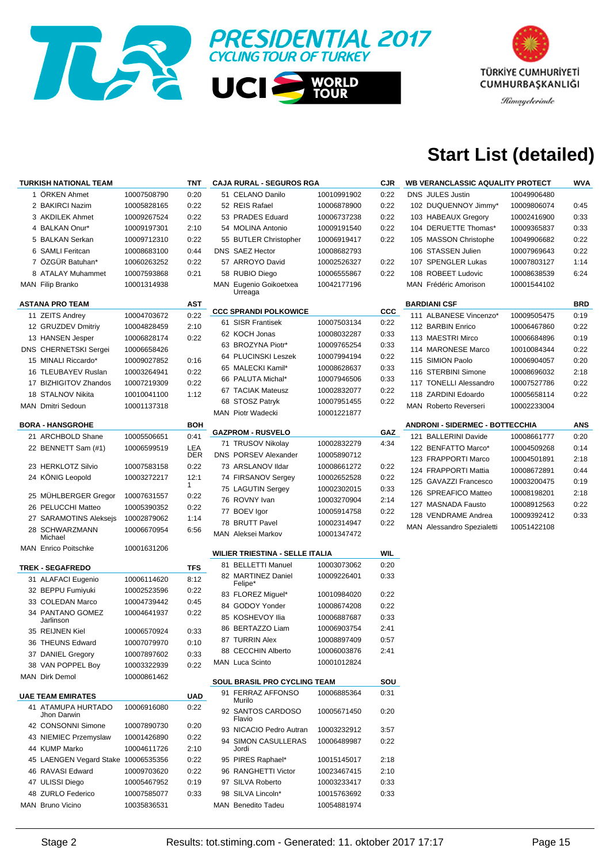



## **Start List (detailed)**

| <b>TURKISH NATIONAL TEAM</b>        |             | <b>TNT</b>   | <b>CAJA RURAL - SEGUROS RGA</b>        |                            | <b>CJR</b> | <b>WB VERANCLASSIC AQUALITY PROTECT</b> |             | WVA        |
|-------------------------------------|-------------|--------------|----------------------------------------|----------------------------|------------|-----------------------------------------|-------------|------------|
| 1 ÖRKEN Ahmet                       | 10007508790 | 0:20         | 51 CELANO Danilo                       | 10010991902                | 0:22       | <b>DNS JULES Justin</b>                 | 10049906480 |            |
| 2 BAKIRCI Nazim                     | 10005828165 | 0:22         | 52 REIS Rafael                         | 10006878900                | 0:22       | 102 DUQUENNOY Jimmy*                    | 10009806074 | 0:45       |
| 3 AKDILEK Ahmet                     | 10009267524 | 0:22         | 53 PRADES Eduard                       | 10006737238                | 0:22       | 103 HABEAUX Gregory                     | 10002416900 | 0:33       |
| 4 BALKAN Onur*                      | 10009197301 | 2:10         | 54 MOLINA Antonio                      | 10009191540                | 0:22       | 104 DERUETTE Thomas*                    | 10009365837 | 0:33       |
| 5 BALKAN Serkan                     | 10009712310 | 0:22         | 55 BUTLER Christopher                  | 10006919417                | 0:22       | 105 MASSON Christophe                   | 10049906682 | 0:22       |
| 6 SAMLI Feritcan                    | 10008683100 | 0:44         | <b>DNS SAEZ Hector</b>                 | 10008682793                |            | 106 STASSEN Julien                      | 10007969643 | 0:22       |
| 7 ÖZGÜR Batuhan*                    | 10060263252 | 0:22         | 57 ARROYO David                        | 10002526327                | 0:22       | 107 SPENGLER Lukas                      | 10007803127 | 1:14       |
| 8 ATALAY Muhammet                   | 10007593868 | 0:21         | 58 RUBIO Diego                         | 10006555867                | 0:22       | 108 ROBEET Ludovic                      | 10008638539 | 6:24       |
| MAN Filip Branko                    | 10001314938 |              | MAN Eugenio Goikoetxea                 | 10042177196                |            | MAN Frédéric Amorison                   | 10001544102 |            |
|                                     |             |              | Urreaga                                |                            |            |                                         |             |            |
| <b>ASTANA PRO TEAM</b>              |             | AST          | <b>CCC SPRANDI POLKOWICE</b>           |                            | CCC        | <b>BARDIANI CSF</b>                     |             | <b>BRD</b> |
| 11 ZEITS Andrey                     | 10004703672 | 0:22         | 61 SISR Frantisek                      | 10007503134                | 0:22       | 111 ALBANESE Vincenzo*                  | 10009505475 | 0:19       |
| 12 GRUZDEV Dmitriy                  | 10004828459 | 2:10         | 62 KOCH Jonas                          | 10008032287                | 0:33       | 112 BARBIN Enrico                       | 10006467860 | 0:22       |
| 13 HANSEN Jesper                    | 10006828174 | 0:22         | 63 BROZYNA Piotr*                      | 10009765254                | 0:33       | 113 MAESTRI Mirco                       | 10006684896 | 0:19       |
| <b>DNS CHERNETSKI Sergei</b>        | 10006658426 |              | 64 PLUCINSKI Leszek                    |                            |            | 114 MARONESE Marco                      | 10010084344 | 0:22       |
| 15 MINALI Riccardo*                 | 10009027852 | 0:16         | 65 MALECKI Kamil*                      | 10007994194                | 0:22       | 115 SIMION Paolo                        | 10006904057 | 0:20       |
| 16 TLEUBAYEV Ruslan                 | 10003264941 | 0:22         | 66 PALUTA Michal*                      | 10008628637                | 0:33       | 116 STERBINI Simone                     | 10008696032 | 2:18       |
| 17 BIZHIGITOV Zhandos               | 10007219309 | 0:22         |                                        | 10007946506                | 0:33       | 117 TONELLI Alessandro                  | 10007527786 | 0:22       |
| 18 STALNOV Nikita                   | 10010041100 | 1:12         | 67 TACIAK Mateusz                      | 10002832077                | 0:22       | 118 ZARDINI Edoardo                     | 10005658114 | 0:22       |
| MAN Dmitri Sedoun                   | 10001137318 |              | 68 STOSZ Patryk<br>MAN Piotr Wadecki   | 10007951455                | 0:22       | <b>MAN</b> Roberto Reverseri            | 10002233004 |            |
| <b>BORA - HANSGROHE</b>             |             | <b>BOH</b>   |                                        | 10001221877                |            | <b>ANDRONI - SIDERMEC - BOTTECCHIA</b>  |             |            |
| 21 ARCHBOLD Shane                   | 10005506651 | 0:41         | <b>GAZPROM - RUSVELO</b>               |                            | GAZ        | 121 BALLERINI Davide                    | 10008661777 | ANS        |
|                                     |             | LEA          | 71 TRUSOV Nikolay                      | 10002832279                | 4:34       |                                         |             | 0:20       |
| 22 BENNETT Sam (#1)                 | 10006599519 | <b>DER</b>   | <b>DNS PORSEV Alexander</b>            | 10005890712                |            | 122 BENFATTO Marco*                     | 10004509268 | 0:14       |
| 23 HERKLOTZ Silvio                  | 10007583158 | 0:22         | 73 ARSLANOV Ildar                      | 10008661272                | 0:22       | 123 FRAPPORTI Marco                     | 10004501891 | 2:18       |
| 24 KÖNIG Leopold                    | 10003272217 | 12:1         | 74 FIRSANOV Sergey                     | 10002652528                | 0:22       | 124 FRAPPORTI Mattia                    | 10008672891 | 0:44       |
|                                     |             | $\mathbf{1}$ | 75 LAGUTIN Sergey                      | 10002302015                | 0:33       | 125 GAVAZZI Francesco                   | 10003200475 | 0:19       |
| 25 MUHLBERGER Gregor                | 10007631557 | 0:22         | 76 ROVNY Ivan                          | 10003270904                | 2:14       | 126 SPREAFICO Matteo                    | 10008198201 | 2:18       |
| 26 PELUCCHI Matteo                  | 10005390352 | 0:22         | 77 BOEV Igor                           | 10005914758                | 0:22       | 127 MASNADA Fausto                      | 10008912563 | 0:22       |
| 27 SARAMOTINS Aleksejs              | 10002879062 | 1:14         | 78 BRUTT Pavel                         | 10002314947                | 0:22       | 128 VENDRAME Andrea                     | 10009392412 | 0:33       |
| 28 SCHWARZMANN<br>Michael           | 10006670954 | 6:56         | MAN Aleksei Markov                     | 10001347472                |            | <b>MAN</b> Alessandro Spezialetti       | 10051422108 |            |
| <b>MAN</b> Enrico Poitschke         | 10001631206 |              |                                        |                            |            |                                         |             |            |
|                                     |             |              | <b>WILIER TRIESTINA - SELLE ITALIA</b> |                            | <b>WIL</b> |                                         |             |            |
| <b>TREK - SEGAFREDO</b>             |             | <b>TFS</b>   | 81 BELLETTI Manuel                     | 10003073062                | 0:20       |                                         |             |            |
| 31 ALAFACI Eugenio                  | 10006114620 | 8:12         | 82 MARTINEZ Daniel<br>Felipe*          | 10009226401                | 0:33       |                                         |             |            |
| 32 BEPPU Fumiyuki                   | 10002523596 | 0:22         | 83 FLOREZ Miguel*                      | 10010984020                | 0:22       |                                         |             |            |
| 33 COLEDAN Marco                    | 10004739442 | 0:45         | 84 GODOY Yonder                        |                            | 0:22       |                                         |             |            |
| 34 PANTANO GOMEZ                    | 10004641937 | 0:22         | 85 KOSHEVOY Ilia                       | 10008674208<br>10006887687 | 0:33       |                                         |             |            |
| Jarlinson                           |             |              | 86 BERTAZZO Liam                       | 10006903754                | 2:41       |                                         |             |            |
| 35 REIJNEN Kiel                     | 10006570924 | 0:33         |                                        |                            |            |                                         |             |            |
| 36 THEUNS Edward                    | 10007079970 | 0:10         | 87 TURRIN Alex<br>88 CECCHIN Alberto   | 10008897409                | 0:57       |                                         |             |            |
| 37 DANIEL Gregory                   | 10007897602 | 0:33         |                                        | 10006003876                | 2:41       |                                         |             |            |
| 38 VAN POPPEL Boy                   | 10003322939 | 0:22         | <b>MAN</b> Luca Scinto                 | 10001012824                |            |                                         |             |            |
| MAN Dirk Demol                      | 10000861462 |              | <b>SOUL BRASIL PRO CYCLING TEAM</b>    |                            | SOU        |                                         |             |            |
| <b>UAE TEAM EMIRATES</b>            |             | UAD          | 91 FERRAZ AFFONSO                      | 10006885364                | 0:31       |                                         |             |            |
| 41 ATAMUPA HURTADO                  | 10006916080 | 0:22         | Murilo                                 |                            |            |                                         |             |            |
| Jhon Darwin                         |             |              | 92 SANTOS CARDOSO<br>Flavio            | 10005671450                | 0:20       |                                         |             |            |
| 42 CONSONNI Simone                  | 10007890730 | 0:20         | 93 NICACIO Pedro Autran                | 10003232912                | 3:57       |                                         |             |            |
| 43 NIEMIEC Przemyslaw               | 10001426890 | 0:22         | 94 SIMON CASULLERAS                    | 10006489987                | 0:22       |                                         |             |            |
| 44 KUMP Marko                       | 10004611726 | 2:10         | Jordi                                  |                            |            |                                         |             |            |
| 45 LAENGEN Vegard Stake 10006535356 |             | 0:22         | 95 PIRES Raphael*                      | 10015145017                | 2:18       |                                         |             |            |
| 46 RAVASI Edward                    | 10009703620 | 0:22         | 96 RANGHETTI Victor                    | 10023467415                | 2:10       |                                         |             |            |
| 47 ULISSI Diego                     | 10005467952 | 0:19         | 97 SILVA Roberto                       | 10003233417                | 0:33       |                                         |             |            |
| 48 ZURLO Federico                   | 10007585077 | 0:33         | 98 SILVA Lincoln*                      | 10015763692                | 0:33       |                                         |             |            |
| MAN Bruno Vicino                    | 10035836531 |              | MAN Benedito Tadeu                     | 10054881974                |            |                                         |             |            |